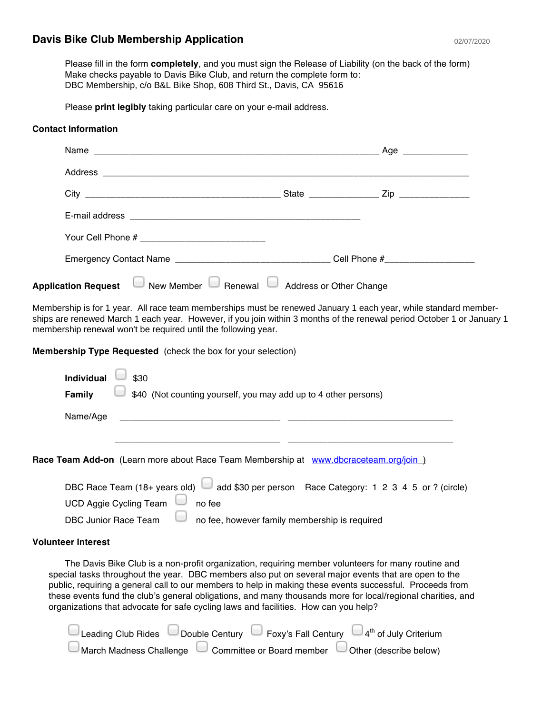## **Davis Bike Club Membership Application**

Please fill in the form **completely**, and you must sign the Release of Liability (on the back of the form) Make checks payable to Davis Bike Club, and return the complete form to: DBC Membership, c/o B&L Bike Shop, 608 Third St., Davis, CA 95616

Please **print legibly** taking particular care on your e-mail address.

## **Contact Information**

|                            |                       |                         | _Age ______________ |  |
|----------------------------|-----------------------|-------------------------|---------------------|--|
|                            |                       |                         |                     |  |
|                            |                       |                         |                     |  |
|                            |                       |                         |                     |  |
|                            |                       |                         |                     |  |
|                            |                       |                         |                     |  |
| <b>Application Request</b> | New Member<br>Renewal | Address or Other Change |                     |  |

Membership is for 1 year. All race team memberships must be renewed January 1 each year, while standard memberships are renewed March 1 each year. However, if you join within 3 months of the renewal period October 1 or January 1 membership renewal won't be required until the following year.

**Membership Type Requested** (check the box for your selection)

| <b>Individual</b>  | \$30                                                                                            |
|--------------------|-------------------------------------------------------------------------------------------------|
| Family             | \$40 (Not counting yourself, you may add up to 4 other persons)                                 |
| Name/Age           |                                                                                                 |
|                    |                                                                                                 |
|                    | Race Team Add-on (Learn more about Race Team Membership at www.dbcraceteam.org/join)            |
|                    | DBC Race Team (18+ years old) $\Box$ add \$30 per person Race Category: 1 2 3 4 5 or ? (circle) |
|                    | <b>UCD Aggie Cycling Team</b><br>no fee                                                         |
|                    | DBC Junior Race Team<br>no fee, however family membership is required                           |
| Valuntaar Intaraat |                                                                                                 |

## **Volunteer Interest**

The Davis Bike Club is a non-profit organization, requiring member volunteers for many routine and special tasks throughout the year. DBC members also put on several major events that are open to the public, requiring a general call to our members to help in making these events successful. Proceeds from these events fund the club's general obligations, and many thousands more for local/regional charities, and organizations that advocate for safe cycling laws and facilities. How can you help?

| Leading Club Rides      | Double Century | Foxy's Fall Century       | $\Box$ 4 <sup>th</sup> of July Criterium |
|-------------------------|----------------|---------------------------|------------------------------------------|
| March Madness Challenge |                | Committee or Board member | Other (describe below)                   |